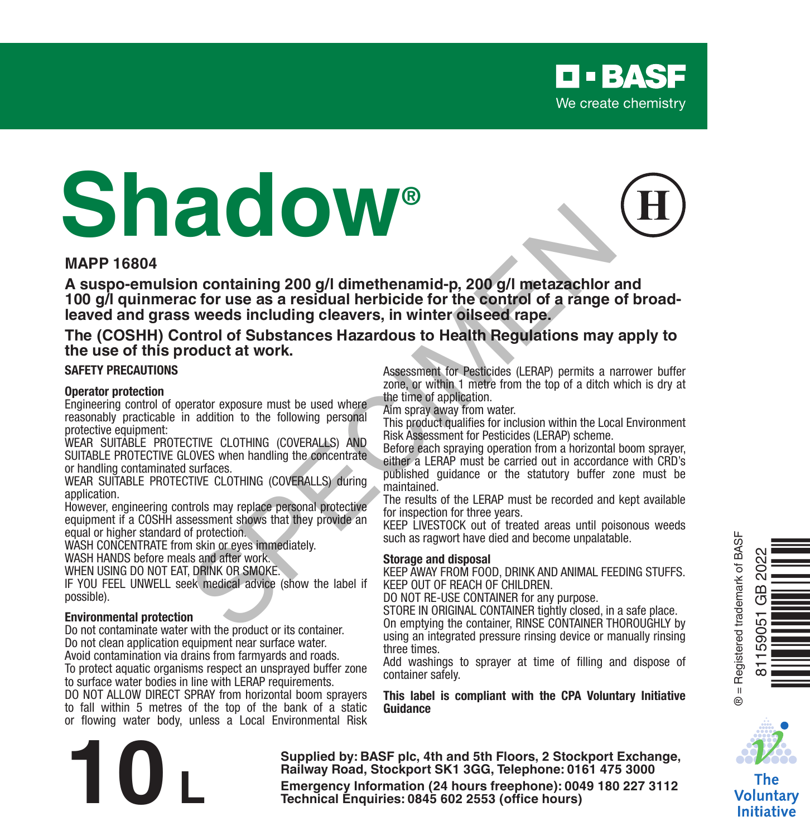

# **Shadow®**

#### **MAPP 16804**

**A suspo-emulsion containing 200 g/l dimethenamid-p, 200 g/l metazachlor and 100 g/l quinmerac for use as a residual herbicide for the control of a range of broadleaved and grass weeds including cleavers, in winter oilseed rape.** For the same of the the method of the Control of a disposal and the sweets including clear that the control of a range of the control of Substances Hazardous to Health Regulations may<br>sweets including clear to the control

#### **The (COSHH) Control of Substances Hazardous to Health Regulations may apply to the use of this product at work.**

#### **SAFETY PRECAUTIONS**

#### **Operator protection**

Engineering control of operator exposure must be used where reasonably practicable in addition to the following personal protective equipment:

WEAR SUITABLE PROTECTIVE CLOTHING (COVERALLS) AND SUITABLE PROTECTIVE GLOVES when handling the concentrate or handling contaminated surfaces.

WEAR SUITABLE PROTECTIVE CLOTHING (COVERALLS) during application.

However, engineering controls may replace personal protective equipment if a COSHH assessment shows that they provide an equal or higher standard of protection.

WASH CONCENTRATE from skin or eyes immediately

WASH HANDS before meals and after work.

WHEN USING DO NOT EAT, DRINK OR SMOKE.

IF YOU FEEL UNWELL seek medical advice (show the label if possible).

#### **Environmental protection**

Do not contaminate water with the product or its container. Do not clean application equipment near surface water. Avoid contamination via drains from farmyards and roads.

To protect aquatic organisms respect an unsprayed buffer zone to surface water bodies in line with LERAP requirements.

DO NOT ALLOW DIRECT SPRAY from horizontal boom sprayers to fall within 5 metres of the top of the bank of a static or flowing water body, unless a Local Environmental Risk Assessment for Pesticides (LERAP) permits a narrower buffer zone, or within 1 metre from the top of a ditch which is dry at the time of application.

Aim spray away from water.

This product qualifies for inclusion within the Local Environment Risk Assessment for Pesticides (LERAP) scheme.

Before each spraying operation from a horizontal boom sprayer, either a LERAP must be carried out in accordance with CRD's published guidance or the statutory buffer zone must be maintained

The results of the LERAP must be recorded and kept available for inspection for three years.

KEEP LIVESTOCK out of treated areas until poisonous weeds such as ragwort have died and become unpalatable.

#### **Storage and disposal**

KEEP AWAY FROM FOOD, DRINK AND ANIMAL FEEDING STUFFS. KEEP OUT OF REACH OF CHILDREN.

DO NOT RE-USE CONTAINER for any purpose.

STORE IN ORIGINAL CONTAINER tightly closed, in a safe place. On emptying the container, RINSE CONTAINER THOROUGHLY by using an integrated pressure rinsing device or manually rinsing three times.

Add washings to sprayer at time of filling and dispose of container safely.

**This label is compliant with the CPA Voluntary Initiative Guidance**



Ì<br>Herman Tanzania<br>Shòing Tanzania

® = Registered trademark of BASF

3 = Registered trademark of BASF  $\alpha$ 淸

81159051 GB 2022

590

The Voluntarv **Initiative** 

**Supplied by: BASF plc, 4th and 5th Floors, 2 Stockport Exchange, Railway Road, Stockport SK1 3GG, Telephone: 0161 475 3000 Emergency Information (24 hours freephone: 0161 475 3000<br>
<b>Emergency Information (24 hours freephone: 0161 475 3000**<br> **Emergency Information (24 hours freephone: 0049 180 227 3112<br>
Technical Enquiries: 0845 602 2553 (offi**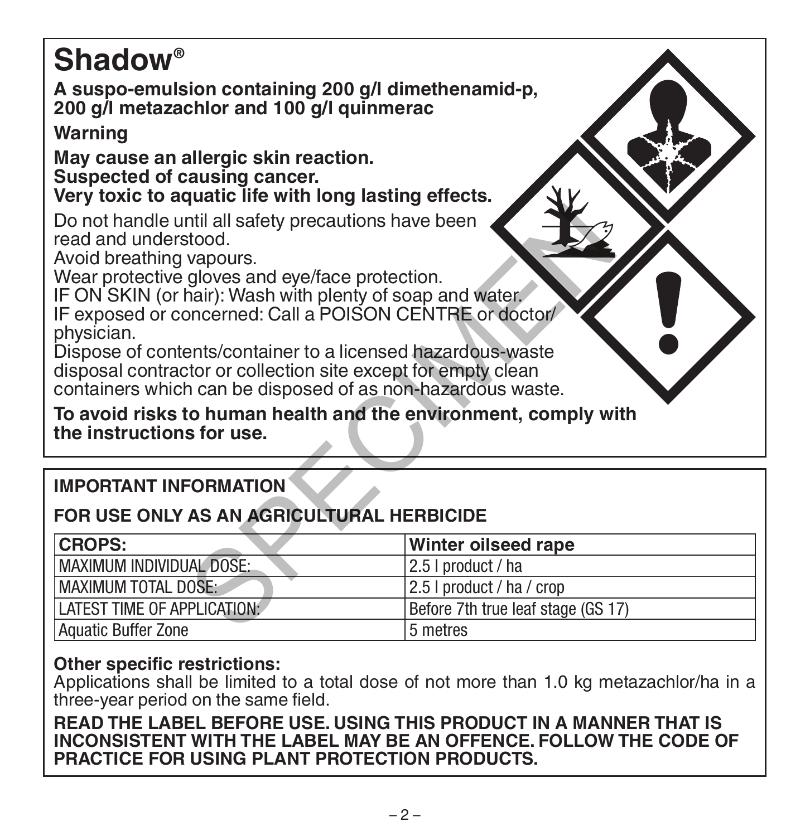# **Shadow®**

**A suspo-emulsion containing 200 g/l dimethenamid-p, 200 g/l metazachlor and 100 g/l quinmerac**

# **Warning**

**May cause an allergic skin reaction. Suspected of causing cancer.**

# **Very toxic to aquatic life with long lasting effects.**

# **IMPORTANT INFORMATION**

# **FOR USE ONLY AS AN AGRICULTURAL HERBICIDE**

| Do not handle until all safety precautions have been<br>read and understood.<br>Avoid breathing vapours.<br>Wear protective gloves and eye/face protection.<br>IF ON SKIN (or hair): Wash with plenty of soap and water.<br>IF exposed or concerned: Call a POISON CENTRE or doctor/<br>physician.<br>Dispose of contents/container to a licensed hazardous-waste<br>disposal contractor or collection site except for empty clean<br>containers which can be disposed of as non-hazardous waste.<br>To avoid risks to human health and the environment, comply with<br>the instructions for use. |                                    |  |  |  |
|---------------------------------------------------------------------------------------------------------------------------------------------------------------------------------------------------------------------------------------------------------------------------------------------------------------------------------------------------------------------------------------------------------------------------------------------------------------------------------------------------------------------------------------------------------------------------------------------------|------------------------------------|--|--|--|
| <b>IMPORTANT INFORMATION</b>                                                                                                                                                                                                                                                                                                                                                                                                                                                                                                                                                                      |                                    |  |  |  |
| FOR USE ONLY AS AN AGRICULTURAL HERBICIDE                                                                                                                                                                                                                                                                                                                                                                                                                                                                                                                                                         |                                    |  |  |  |
| <b>CROPS:</b>                                                                                                                                                                                                                                                                                                                                                                                                                                                                                                                                                                                     | Winter oilseed rape                |  |  |  |
| MAXIMUM INDIVIDUAL DOSE:                                                                                                                                                                                                                                                                                                                                                                                                                                                                                                                                                                          | 2.5   product / ha                 |  |  |  |
| <b>MAXIMUM TOTAL DOSE:</b>                                                                                                                                                                                                                                                                                                                                                                                                                                                                                                                                                                        | 2.5   product / ha / crop          |  |  |  |
| LATEST TIME OF APPLICATION:                                                                                                                                                                                                                                                                                                                                                                                                                                                                                                                                                                       | Before 7th true leaf stage (GS 17) |  |  |  |
| <b>Aquatic Buffer Zone</b>                                                                                                                                                                                                                                                                                                                                                                                                                                                                                                                                                                        | 5 metres                           |  |  |  |

# **Other specific restrictions:**

Applications shall be limited to a total dose of not more than 1.0 kg metazachlor/ha in a three-year period on the same field.

**READ THE LABEL BEFORE USE. USING THIS PRODUCT IN A MANNER THAT IS INCONSISTENT WITH THE LABEL MAY BE AN OFFENCE. FOLLOW THE CODE OF PRACTICE FOR USING PLANT PROTECTION PRODUCTS.**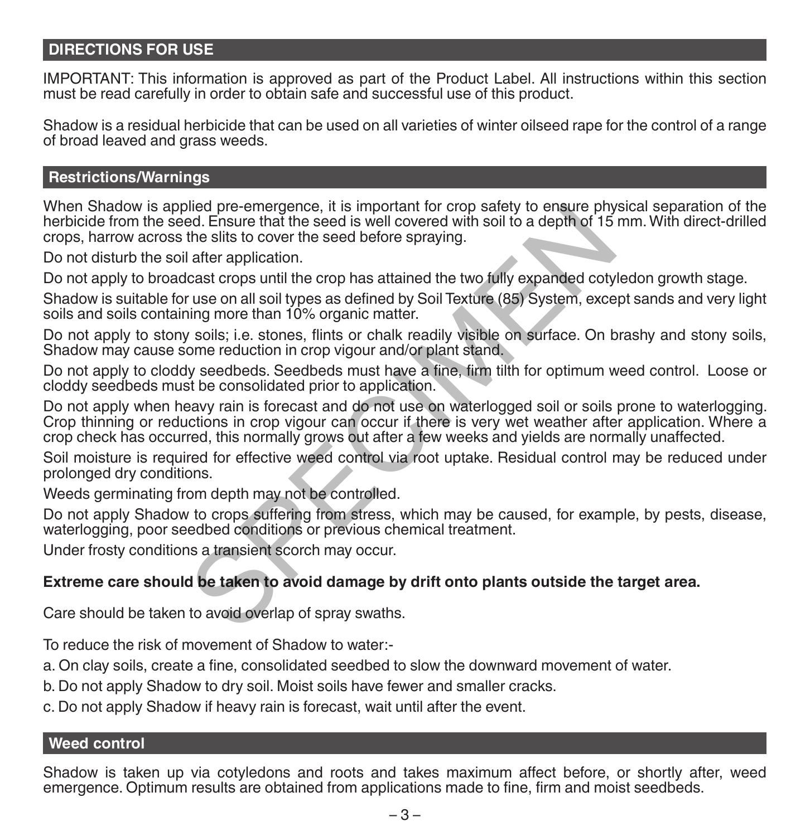# **DIRECTIONS FOR USE**

IMPORTANT: This information is approved as part of the Product Label. All instructions within this section must be read carefully in order to obtain safe and successful use of this product.

Shadow is a residual herbicide that can be used on all varieties of winter oilseed rape for the control of a range of broad leaved and grass weeds.

#### **Restrictions/Warnings**

When Shadow is applied pre-emergence, it is important for crop safety to ensure physical separation of the herbicide from the seed. Ensure that the seed is well covered with soil to a depth of 15 mm. With direct-drilled crops, harrow across the slits to cover the seed before spraying.

Do not disturb the soil after application.

Do not apply to broadcast crops until the crop has attained the two fully expanded cotyledon growth stage.

Shadow is suitable for use on all soil types as defined by Soil Texture (85) System, except sands and very light soils and soils containing more than 10% organic matter.

Do not apply to stony soils; i.e. stones, flints or chalk readily visible on surface. On brashy and stony soils, Shadow may cause some reduction in crop vigour and/or plant stand.

Do not apply to cloddy seedbeds. Seedbeds must have a fine, firm tilth for optimum weed control. Loose or cloddy seedbeds must be consolidated prior to application.

Do not apply when heavy rain is forecast and do not use on waterlogged soil or soils prone to waterlogging. Crop thinning or reductions in crop vigour can occur if there is very wet weather after application. Where a crop check has occurred, this normally grows out after a few weeks and yields are normally unaffected. bled pre-emergionce, it is important for crop satety to ensure phy<br>ed. Ensure that the seed is well covered with soil to a depth of 15<br>the slits to cover the seed before spraying.<br>Lafter application.<br>Cast crops until the c

Soil moisture is required for effective weed control via root uptake. Residual control may be reduced under prolonged dry conditions.

Weeds germinating from depth may not be controlled.

Do not apply Shadow to crops suffering from stress, which may be caused, for example, by pests, disease, waterlogging, poor seedbed conditions or previous chemical treatment.

Under frosty conditions a transient scorch may occur.

#### **Extreme care should be taken to avoid damage by drift onto plants outside the target area.**

Care should be taken to avoid overlap of spray swaths.

To reduce the risk of movement of Shadow to water:-

a. On clay soils, create a fine, consolidated seedbed to slow the downward movement of water.

b. Do not apply Shadow to dry soil. Moist soils have fewer and smaller cracks.

c. Do not apply Shadow if heavy rain is forecast, wait until after the event.

### **Weed control**

Shadow is taken up via cotyledons and roots and takes maximum affect before, or shortly after, weed emergence. Optimum results are obtained from applications made to fine, firm and moist seedbeds.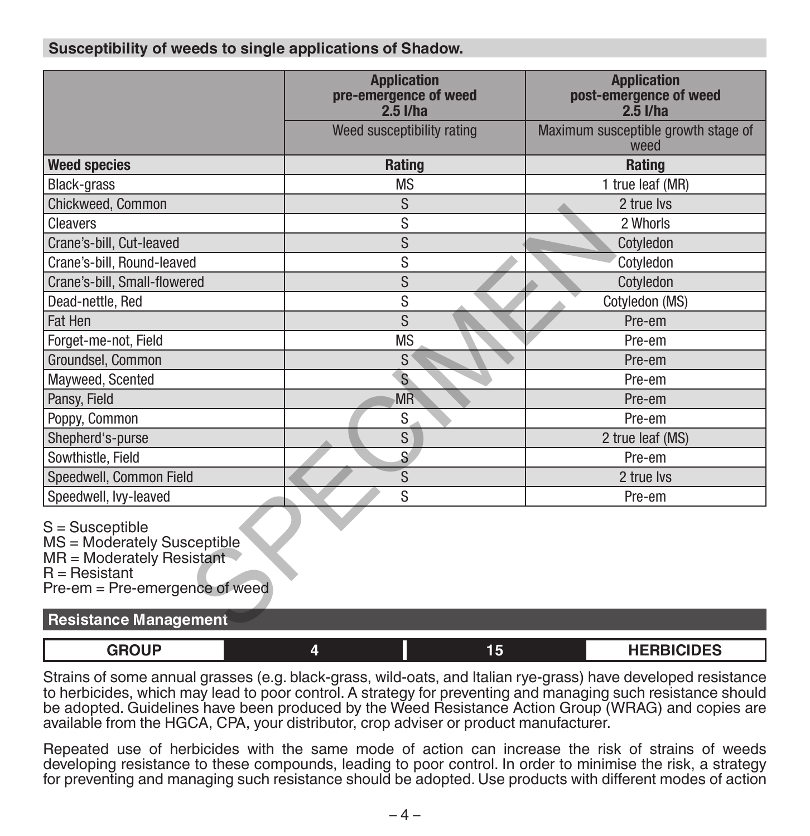# **Susceptibility of weeds to single applications of Shadow.**

|                                                                                                                                             | <b>Application</b><br>pre-emergence of weed<br>$2.5$ I/ha | <b>Application</b><br>post-emergence of weed<br>$2.5$ I/ha |  |
|---------------------------------------------------------------------------------------------------------------------------------------------|-----------------------------------------------------------|------------------------------------------------------------|--|
|                                                                                                                                             | Weed susceptibility rating                                | Maximum susceptible growth stage of<br>weed                |  |
| <b>Weed species</b>                                                                                                                         | Rating                                                    | <b>Rating</b>                                              |  |
| Black-grass                                                                                                                                 | <b>MS</b>                                                 | 1 true leaf (MR)                                           |  |
| Chickweed, Common                                                                                                                           | S                                                         | 2 true lvs                                                 |  |
| Cleavers                                                                                                                                    | S                                                         | 2 Whorls                                                   |  |
| Crane's-bill, Cut-leaved                                                                                                                    | S                                                         | Cotyledon                                                  |  |
| Crane's-bill, Round-leaved                                                                                                                  | S                                                         | Cotyledon                                                  |  |
| Crane's-bill, Small-flowered                                                                                                                | S                                                         | Cotyledon                                                  |  |
| Dead-nettle, Red                                                                                                                            | S                                                         | Cotyledon (MS)                                             |  |
| Fat Hen                                                                                                                                     | S                                                         | Pre-em                                                     |  |
| Forget-me-not, Field                                                                                                                        | <b>MS</b>                                                 | Pre-em                                                     |  |
| Groundsel, Common                                                                                                                           | S                                                         | Pre-em                                                     |  |
| Mayweed, Scented                                                                                                                            | $\mathbf{s}$                                              | Pre-em                                                     |  |
| Pansy, Field                                                                                                                                | <b>MR</b>                                                 | Pre-em                                                     |  |
| Poppy, Common                                                                                                                               | S                                                         | Pre-em                                                     |  |
| Shepherd's-purse                                                                                                                            | S                                                         | 2 true leaf (MS)                                           |  |
| Sowthistle, Field                                                                                                                           | $\mathsf{S}$                                              | Pre-em                                                     |  |
| Speedwell, Common Field                                                                                                                     | S                                                         | 2 true lvs                                                 |  |
| Speedwell, lvy-leaved                                                                                                                       | S                                                         | Pre-em                                                     |  |
| $S =$ Susceptible<br>MS = Moderately Susceptible<br>$MR = Modern$ Moderately Resistant<br>$R =$ Resistant<br>Pre-em = Pre-emergence of weed |                                                           |                                                            |  |
| <b>Resistance Management</b>                                                                                                                |                                                           |                                                            |  |

| <b>Resistance Management</b> |  |    |                   |  |  |
|------------------------------|--|----|-------------------|--|--|
| GROUP                        |  | 15 | <b>HERBICIDES</b> |  |  |
|                              |  |    |                   |  |  |

Strains of some annual grasses (e.g. black-grass, wild-oats, and Italian rye-grass) have developed resistance to herbicides, which may lead to poor control. A strategy for preventing and managing such resistance should be adopted. Guidelines have been produced by the Weed Resistance Action Group (WRAG) and copies are available from the HGCA, CPA, your distributor, crop adviser or product manufacturer.

Repeated use of herbicides with the same mode of action can increase the risk of strains of weeds developing resistance to these compounds, leading to poor control. In order to minimise the risk, a strategy for preventing and managing such resistance should be adopted. Use products with different modes of action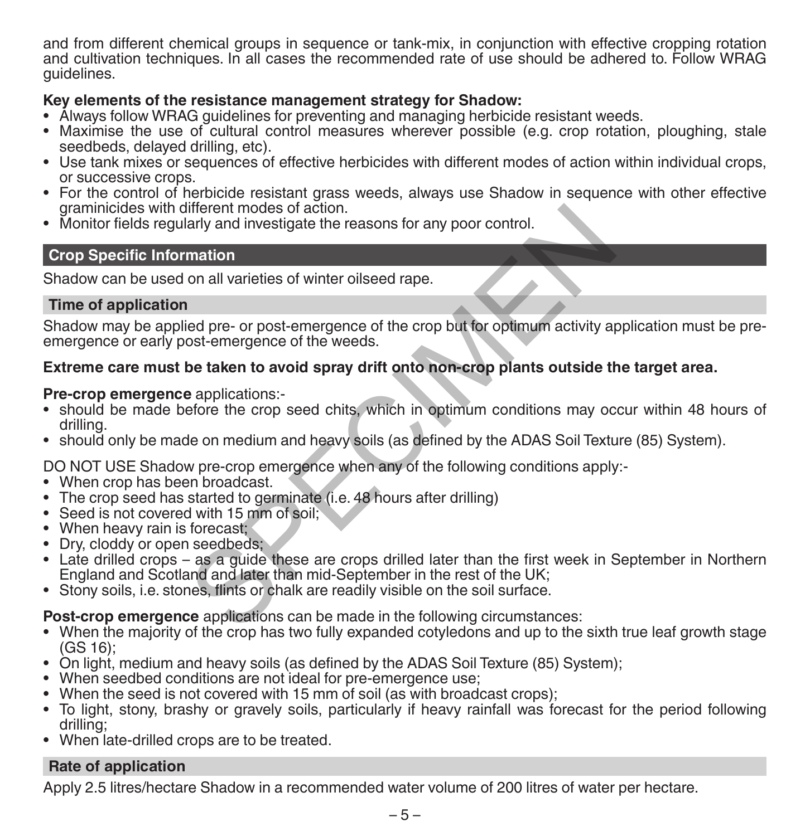and from different chemical groups in sequence or tank-mix, in conjunction with effective cropping rotation and cultivation techniques. In all cases the recommended rate of use should be adhered to. Follow WRAG guidelines.

# **Key elements of the resistance management strategy for Shadow:**

- Always follow WRAG guidelines for preventing and managing herbicide resistant weeds.
- Maximise the use of cultural control measures wherever possible (e.g. crop rotation, ploughing, stale seedbeds, delayed drilling, etc).
- Use tank mixes or sequences of effective herbicides with different modes of action within individual crops, or successive crops.
- For the control of herbicide resistant grass weeds, always use Shadow in sequence with other effective graminicides with different modes of action.
- Monitor fields regularly and investigate the reasons for any poor control.

# **Crop Specific Information**

Shadow can be used on all varieties of winter oilseed rape.

### **Time of application**

Shadow may be applied pre- or post-emergence of the crop but for optimum activity application must be preemergence or early post-emergence of the weeds. iliterent modes of action.<br>
mation<br>
on all varieties of winter oilseed rape.<br>
and investigate the reasons for any poor control.<br>
and investigate of winter oilseed rape.<br>
<br>
and the control of the weeds.<br> **SPECIME AND ASSEMS** 

# **Extreme care must be taken to avoid spray drift onto non-crop plants outside the target area.**

#### **Pre-crop emergence** applications:-

- should be made before the crop seed chits, which in optimum conditions may occur within 48 hours of drilling.
- should only be made on medium and heavy soils (as defined by the ADAS Soil Texture (85) System).

DO NOT USE Shadow pre-crop emergence when any of the following conditions apply:-

- When crop has been broadcast.
- The crop seed has started to germinate (i.e. 48 hours after drilling)
- Seed is not covered with 15 mm of soil;
- When heavy rain is forecast:
- Dry, cloddy or open seedbeds;
- Late drilled crops as a guide these are crops drilled later than the first week in September in Northern England and Scotland and later than mid-September in the rest of the UK;
- Stony soils, i.e. stones, flints or chalk are readily visible on the soil surface.

**Post-crop emergence** applications can be made in the following circumstances:

- When the majority of the crop has two fully expanded cotyledons and up to the sixth true leaf growth stage (GS 16);
- On light, medium and heavy soils (as defined by the ADAS Soil Texture (85) System);
- When seedbed conditions are not ideal for pre-emergence use;
- When the seed is not covered with 15 mm of soil (as with broadcast crops):
- To light, stony, brashy or gravely soils, particularly if heavy rainfall was forecast for the period following drilling;
- When late-drilled crops are to be treated.

# **Rate of application**

Apply 2.5 litres/hectare Shadow in a recommended water volume of 200 litres of water per hectare.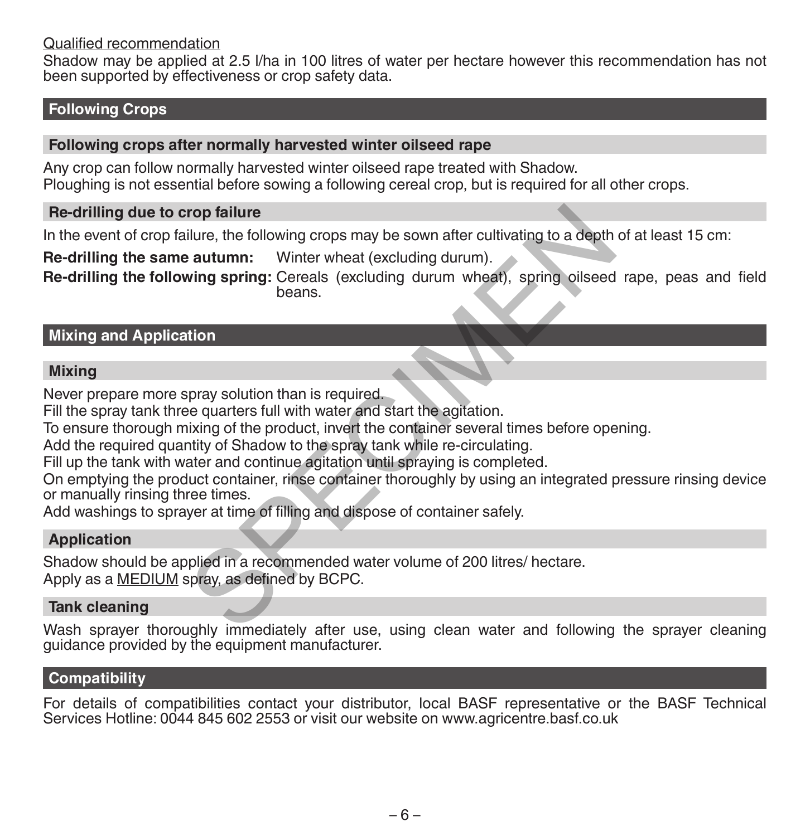#### Qualified recommendation

Shadow may be applied at 2.5 l/ha in 100 litres of water per hectare however this recommendation has not been supported by effectiveness or crop safety data.

### **Following Crops**

#### **Following crops after normally harvested winter oilseed rape**

Any crop can follow normally harvested winter oilseed rape treated with Shadow. Ploughing is not essential before sowing a following cereal crop, but is required for all other crops.

#### **Re-drilling due to crop failure**

In the event of crop failure, the following crops may be sown after cultivating to a depth of at least 15 cm:

**Re-drilling the same autumn:** Winter wheat (excluding durum).

**Re-drilling the following spring:** Cereals (excluding durum wheat), spring oilseed rape, peas and field beans. rop failure<br>
ilure, the following crops may be sown after cultivating to a depth<br> **e autumn:** Winter wheat (excluding durum).<br>
wing spring: Cereals (excluding durum wheat), spring oilseed<br>
beans.<br>
spray solution than is re

### **Mixing and Application**

#### **Mixing**

Never prepare more spray solution than is required.

Fill the spray tank three quarters full with water and start the agitation.

To ensure thorough mixing of the product, invert the container several times before opening.

Add the required quantity of Shadow to the spray tank while re-circulating.

Fill up the tank with water and continue agitation until spraying is completed.

On emptying the product container, rinse container thoroughly by using an integrated pressure rinsing device or manually rinsing three times.

Add washings to sprayer at time of filling and dispose of container safely.

#### **Application**

Shadow should be applied in a recommended water volume of 200 litres/ hectare. Apply as a MEDIUM spray, as defined by BCPC.

#### **Tank cleaning**

Wash sprayer thoroughly immediately after use, using clean water and following the sprayer cleaning guidance provided by the equipment manufacturer.

#### **Compatibility**

For details of compatibilities contact your distributor, local BASF representative or the BASF Technical Services Hotline: 0044 845 602 2553 or visit our website on www.agricentre.basf.co.uk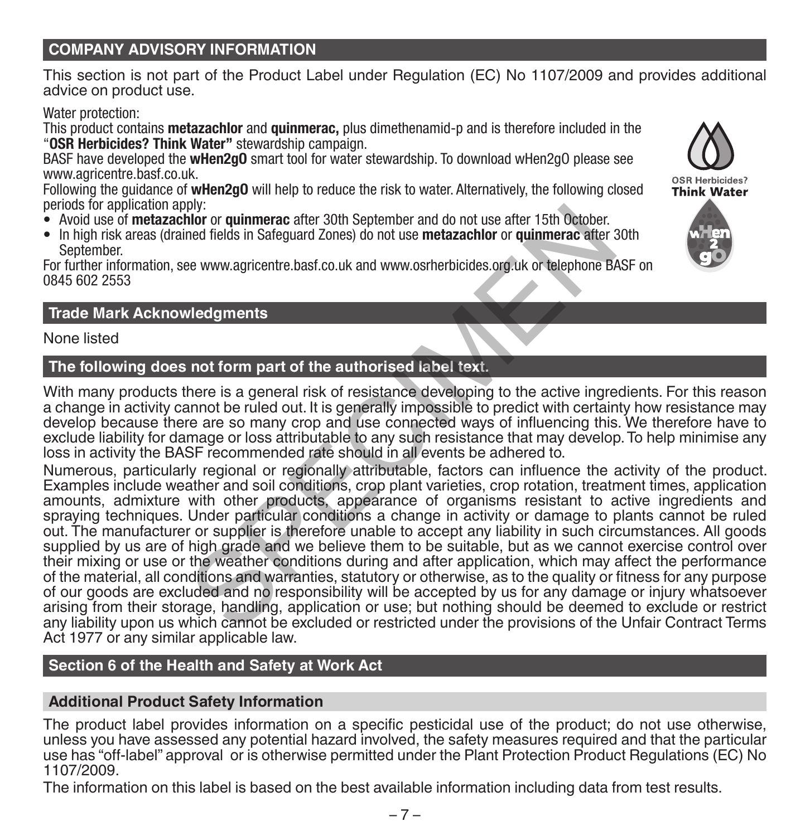# **COMPANY ADVISORY INFORMATION**

This section is not part of the Product Label under Regulation (EC) No 1107/2009 and provides additional advice on product use.

#### Water protection:

This product contains **metazachlor** and **quinmerac,** plus dimethenamid-p and is therefore included in the "**OSR Herbicides? Think Water"** stewardship campaign.

BASF have developed the **wHen2gO** smart tool for water stewardship. To download wHen2gO please see www.agricentre.basf.co.uk.

Following the guidance of **wHen2gO** will help to reduce the risk to water. Alternatively, the following closed periods for application apply:

- Avoid use of **metazachlor** or **quinmerac** after 30th September and do not use after 15th October.
- In high risk areas (drained fields in Safeguard Zones) do not use **metazachlor** or **quinmerac** after 30th September.

For further information, see www.agricentre.basf.co.uk and www.osrherbicides.org.uk or telephone BASF on 0845 602 2553

### **Trade Mark Acknowledgments**

None listed

# **The following does not form part of the authorised label text.**

With many products there is a general risk of resistance developing to the active ingredients. For this reason a change in activity cannot be ruled out. It is generally impossible to predict with certainty how resistance may develop because there are so many crop and use connected ways of influencing this. We therefore have to exclude liability for damage or loss attributable to any such resistance that may develop. To help minimise any loss in activity the BASF recommended rate should in all events be adhered to.

Numerous, particularly regional or regionally attributable, factors can influence the activity of the product. Examples include weather and soil conditions, crop plant varieties, crop rotation, treatment times, application amounts, admixture with other products, appearance of organisms resistant to active ingredients and spraying techniques. Under particular conditions a change in activity or damage to plants cannot be ruled out. The manufacturer or supplier is therefore unable to accept any liability in such circumstances. All goods supplied by us are of high grade and we believe them to be suitable, but as we cannot exercise control over their mixing or use or the weather conditions during and after application, which may affect the performance of the material, all conditions and warranties, statutory or otherwise, as to the quality or fitness for any purpose of our goods are excluded and no responsibility will be accepted by us for any damage or injury whatsoever arising from their storage, handling, application or use; but nothing should be deemed to exclude or restrict any liability upon us which cannot be excluded or restricted under the provisions of the Unfair Contract Terms Act 1977 or any similar applicable law. Horizon and the state and the state of the quality of the particular the mean of the cample of the sexual defined the sextent of the provided present of the property and the vertex of the surface of the surface of the surf

# **Section 6 of the Health and Safety at Work Act**

#### **Additional Product Safety Information**

The product label provides information on a specific pesticidal use of the product; do not use otherwise, unless you have assessed any potential hazard involved, the safety measures required and that the particular use has "off-label" approval or is otherwise permitted under the Plant Protection Product Regulations (EC) No 1107/2009.

The information on this label is based on the best available information including data from test results.



OSR Herbicides? **Think Water** 

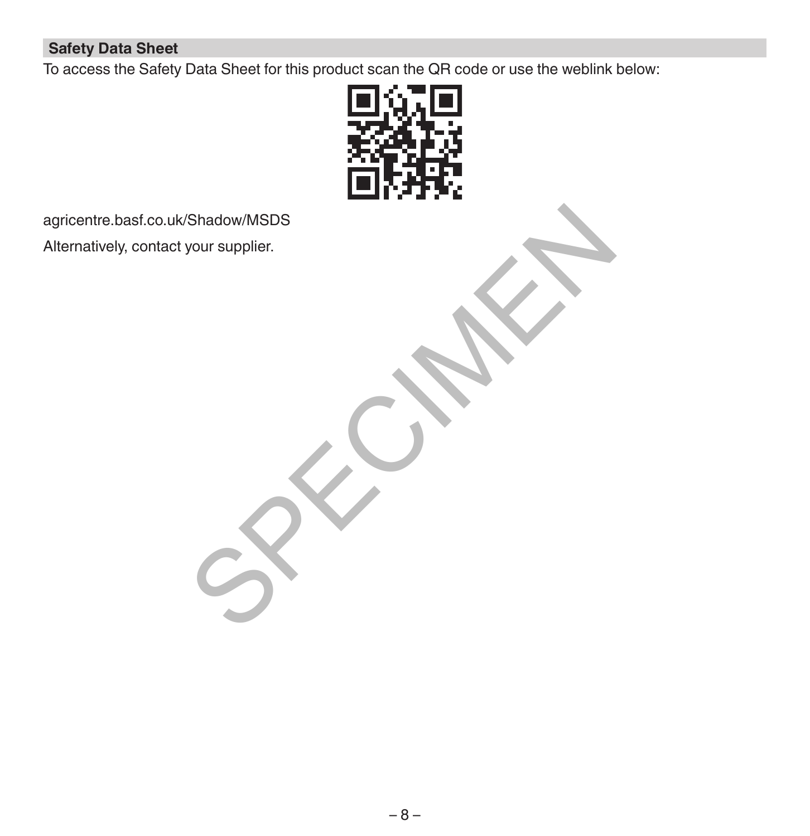# **Safety Data Sheet**

To access the Safety Data Sheet for this product scan the QR code or use the weblink below:



agricentre.basf.co.uk/Shadow/MSDS Alternatively, contact your supplier. Shadow/MSDs